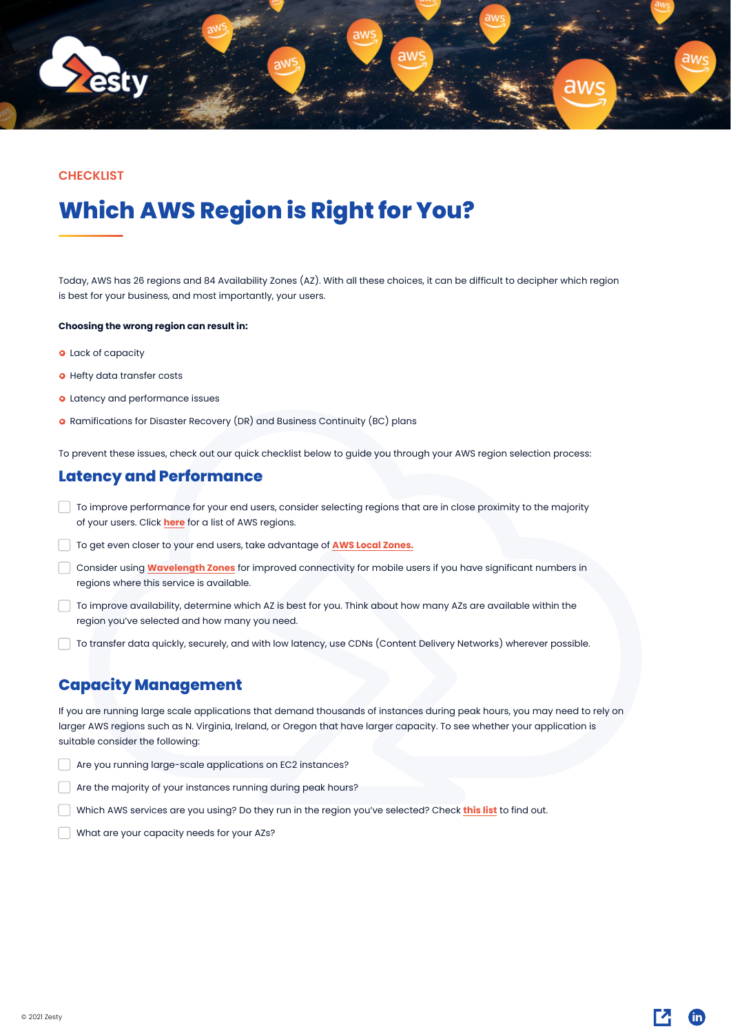Today, AWS has 26 regions and 84 Availability Zones (AZ). With all these choices, it can be difficult to decipher which region is best for your business, and most importantly, your users.

### **Choosing the wrong region can result in:**

- **O** Lack of capacity
- **O** Hefty data transfer costs
- **O** Latency and performance issues
- **O** Ramifications for Disaster Recovery (DR) and Business Continuity (BC) plans

To prevent these issues, check out our quick checklist below to guide you through your AWS region selection process:

- To improve performance for your end users, consider selecting regions that are in close proximity to the majority of your users. Click **[here](https://docs.aws.amazon.com/AWSEC2/latest/UserGuide/using-regions-availability-zones.html#concepts-regions)** for a list of AWS regions.
- To get even closer to your end users, take advantage of **[AWS Local Zones.](https://aws.amazon.com/about-aws/global-infrastructure/localzones/locations/)**
- Consider using **[Wavelength Zones](https://aws.amazon.com/wavelength/locations/)** for improved connectivity for mobile users if you have significant numbers in regions where this service is available.
- To improve availability, determine which AZ is best for you. Think about how many AZs are available within the region you've selected and how many you need.
- To transfer data quickly, securely, and with low latency, use CDNs (Content Delivery Networks) wherever possible.

### **Latency and Performance**

If you are running large scale applications that demand thousands of instances during peak hours, you may need to rely on larger AWS regions such as N. Virginia, Ireland, or Oregon that have larger capacity. To see whether your application is suitable consider the following:

Are you running large-scale applications on EC2 instances?

Are the majority of your instances running during peak hours?

Which AWS services are you using? Do they run in the region you've selected? Check **[this list](https://aws.amazon.com/about-aws/global-infrastructure/regional-product-services/?p=ugi&l=na)** to find out.

What are your capacity needs for your AZs?

### **Capacity Management**

# **Which AWS Region is Right for You?**



### **CHECKLIST**